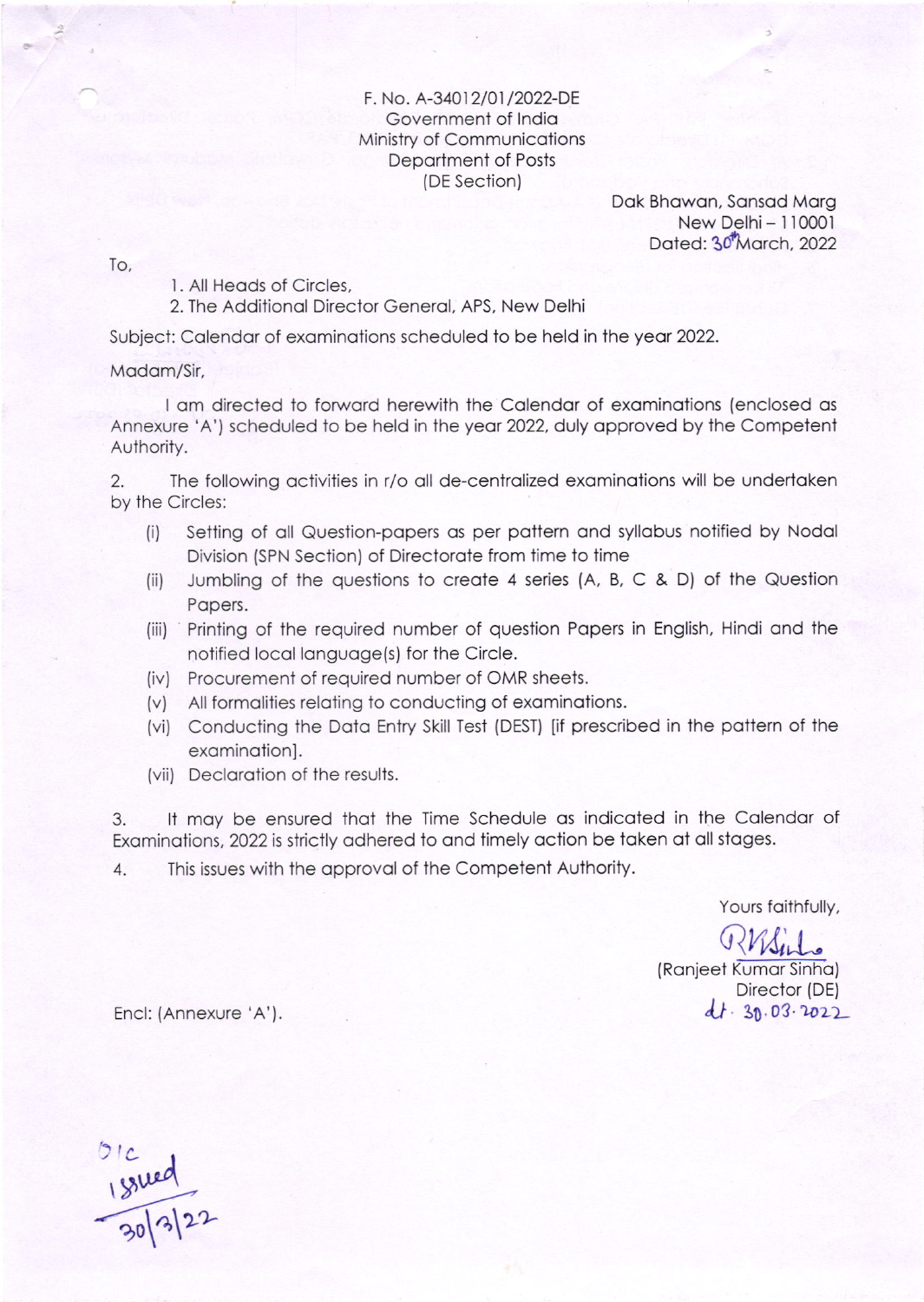F. No. A-34012/01/2022-DE Government of India Ministry of Communications Department of Posts (DE Section)

> Dak Bhawan, Sansad Marg New Delhi - 110001 Dated: 30<sup>t</sup>March, 2022

To,

1. All Heads of Circles,

2. The Additional Director General, APS, New Delhi

Subject: Calendar of examinations scheduled to be held in the year 2022.

Madam/Sir,

I am directed to forward herewith the Calendar of examinations (enclosed as Annexure 'A') scheduled to be held in the year 2022, duly approved by the Competent Authority.

 $2.$ The following activities in r/o all de-centralized examinations will be undertaken by the Circles:

- Setting of all Question-papers as per pattern and syllabus notified by Nodal  $(i)$ Division (SPN Section) of Directorate from time to time
- Jumbling of the questions to create 4 series (A, B, C & D) of the Question  $(ii)$ Papers.
- (iii) Printing of the required number of question Papers in English, Hindi and the notified local language(s) for the Circle.
- (iv) Procurement of required number of OMR sheets.
- (v) All formalities relating to conducting of examinations.
- (vi) Conducting the Data Entry Skill Test (DEST) [if prescribed in the pattern of the examination].
- (vii) Declaration of the results.

It may be ensured that the Time Schedule as indicated in the Calendar of 3. Examinations, 2022 is strictly adhered to and timely action be taken at all stages.

This issues with the approval of the Competent Authority.  $4.$ 

Yours faithfully,

(Ranjeet Kumar Sinha) Director (DE)  $dt - 30.03 - 2022$ 

Encl: (Annexure 'A').

 $\frac{181100}{20|3|22}$